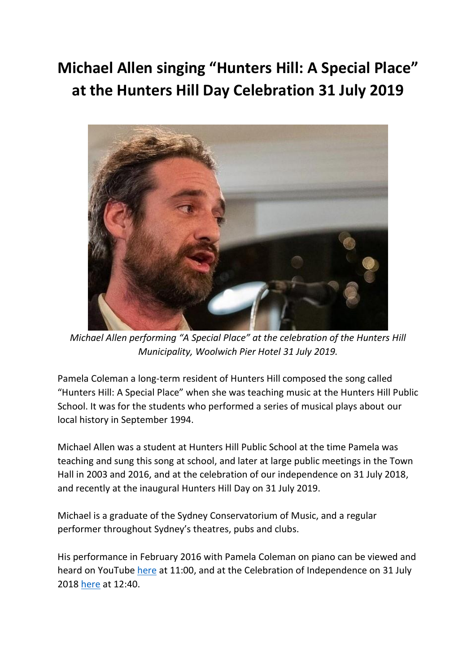## **Michael Allen singing "Hunters Hill: A Special Place" at the Hunters Hill Day Celebration 31 July 2019**



*Michael Allen performing "A Special Place" at the celebration of the Hunters Hill Municipality, Woolwich Pier Hotel 31 July 2019.*

Pamela Coleman a long-term resident of Hunters Hill composed the song called "Hunters Hill: A Special Place" when she was teaching music at the Hunters Hill Public School. It was for the students who performed a series of musical plays about our local history in September 1994.

Michael Allen was a student at Hunters Hill Public School at the time Pamela was teaching and sung this song at school, and later at large public meetings in the Town Hall in 2003 and 2016, and at the celebration of our independence on 31 July 2018, and recently at the inaugural Hunters Hill Day on 31 July 2019.

Michael is a graduate of the Sydney Conservatorium of Music, and a regular performer throughout Sydney's theatres, pubs and clubs.

His performance in February 2016 with Pamela Coleman on piano can be viewed and heard on YouTube [here](https://www.youtube.com/watch?v=WgPxiB8hDvw) at 11:00, and at the Celebration of Independence on 31 July 2018 [here](https://www.youtube.com/watch?v=OndJ-cM2xJE) at 12:40.